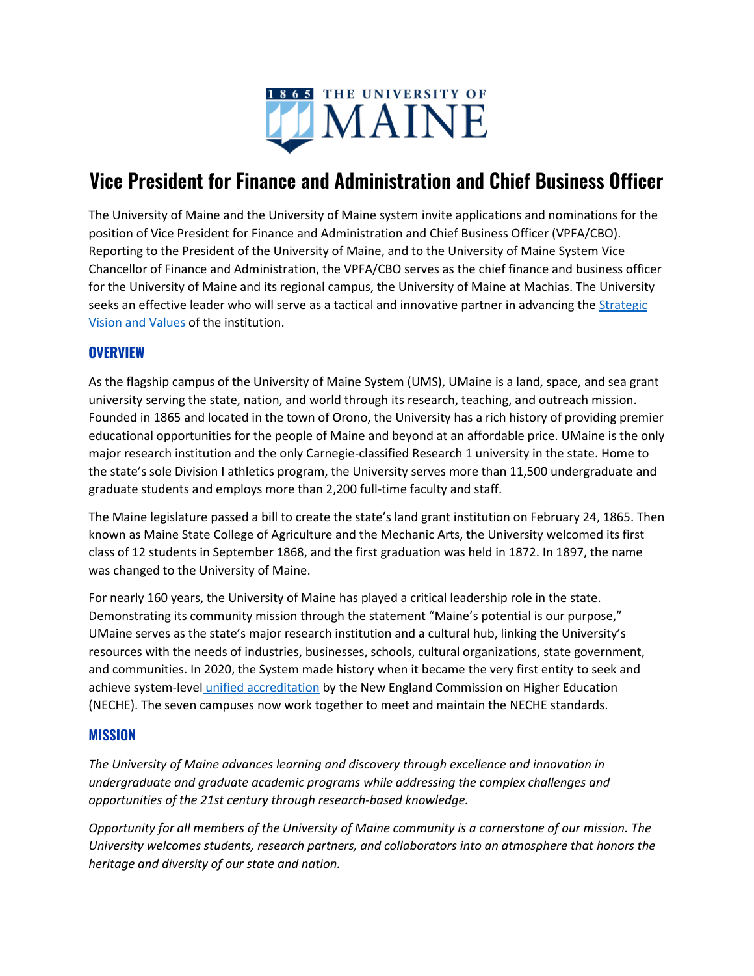

# **Vice President for Finance and Administration and Chief Business Officer**

The University of Maine and the University of Maine system invite applications and nominations for the position of Vice President for Finance and Administration and Chief Business Officer (VPFA/CBO). Reporting to the President of the University of Maine, and to the University of Maine System Vice Chancellor of Finance and Administration, the VPFA/CBO serves as the chief finance and business officer for the University of Maine and its regional campus, the University of Maine at Machias. The University seeks an effective leader who will serve as a tactical and innovative partner in advancing th[e Strategic](https://umaine.edu/visionandvalues/)  [Vision and Values](https://umaine.edu/visionandvalues/) of the institution.

## **OVERVIEW**

As the flagship campus of the University of Maine System (UMS), UMaine is a land, space, and sea grant university serving the state, nation, and world through its research, teaching, and outreach mission. Founded in 1865 and located in the town of Orono, the University has a rich history of providing premier educational opportunities for the people of Maine and beyond at an affordable price. UMaine is the only major research institution and the only Carnegie-classified Research 1 university in the state. Home to the state's sole Division I athletics program, the University serves more than 11,500 undergraduate and graduate students and employs more than 2,200 full-time faculty and staff.

The Maine legislature passed a bill to create the state's land grant institution on February 24, 1865. Then known as Maine State College of Agriculture and the Mechanic Arts, the University welcomed its first class of 12 students in September 1868, and the first graduation was held in 1872. In 1897, the name was changed to the University of Maine.

For nearly 160 years, the University of Maine has played a critical leadership role in the state. Demonstrating its community mission through the statement "Maine's potential is our purpose," UMaine serves as the state's major research institution and a cultural hub, linking the University's resources with the needs of industries, businesses, schools, cultural organizations, state government, and communities. In 2020, the System made history when it became the very first entity to seek and achieve system-lev[el](https://www.maine.edu/blog/2020/06/26/joint-release-new-england-commission-of-higher-education-votes-to-accredit-university-of-maine-system/) [unified accreditation](https://www.maine.edu/blog/2020/06/26/joint-release-new-england-commission-of-higher-education-votes-to-accredit-university-of-maine-system/) by the New England Commission on Higher Education (NECHE). The seven campuses now work together to meet and maintain the NECHE standards.

# **MISSION**

*The University of Maine advances learning and discovery through excellence and innovation in undergraduate and graduate academic programs while addressing the complex challenges and opportunities of the 21st century through research-based knowledge.* 

*Opportunity for all members of the University of Maine community is a cornerstone of our mission. The University welcomes students, research partners, and collaborators into an atmosphere that honors the heritage and diversity of our state and nation.*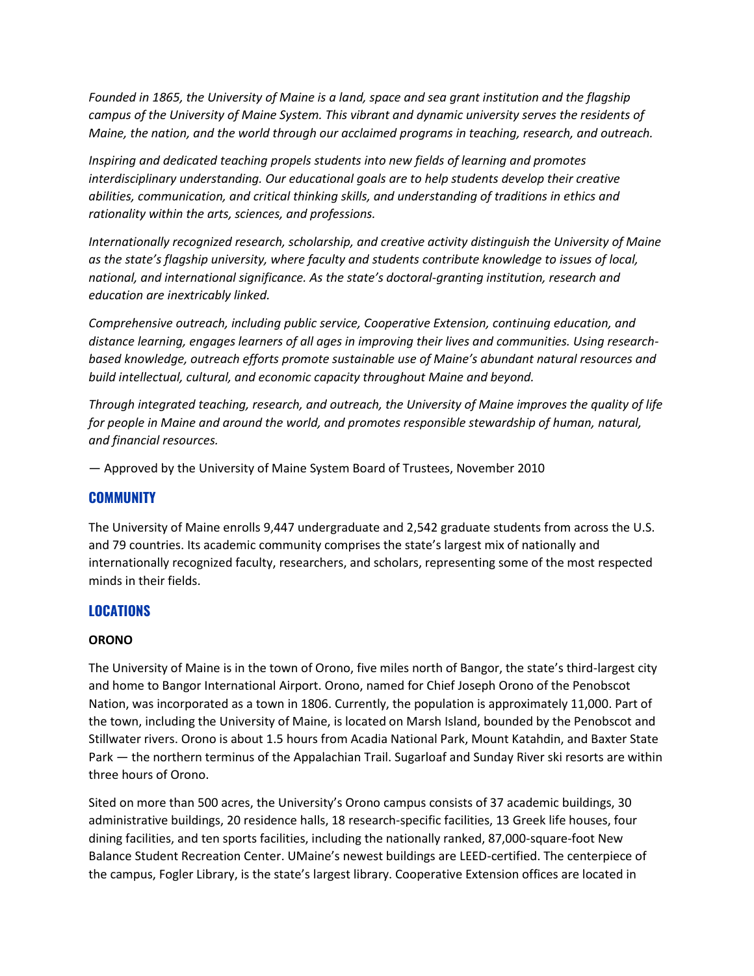*Founded in 1865, the University of Maine is a land, space and sea grant institution and the flagship campus of the University of Maine System. This vibrant and dynamic university serves the residents of Maine, the nation, and the world through our acclaimed programs in teaching, research, and outreach.* 

*Inspiring and dedicated teaching propels students into new fields of learning and promotes interdisciplinary understanding. Our educational goals are to help students develop their creative abilities, communication, and critical thinking skills, and understanding of traditions in ethics and rationality within the arts, sciences, and professions.* 

*Internationally recognized research, scholarship, and creative activity distinguish the University of Maine as the state's flagship university, where faculty and students contribute knowledge to issues of local, national, and international significance. As the state's doctoral-granting institution, research and education are inextricably linked.* 

*Comprehensive outreach, including public service, Cooperative Extension, continuing education, and distance learning, engages learners of all ages in improving their lives and communities. Using researchbased knowledge, outreach efforts promote sustainable use of Maine's abundant natural resources and build intellectual, cultural, and economic capacity throughout Maine and beyond.* 

*Through integrated teaching, research, and outreach, the University of Maine improves the quality of life for people in Maine and around the world, and promotes responsible stewardship of human, natural, and financial resources.* 

— Approved by the University of Maine System Board of Trustees, November 2010

#### **COMMUNITY**

The University of Maine enrolls 9,447 undergraduate and 2,542 graduate students from across the U.S. and 79 countries. Its academic community comprises the state's largest mix of nationally and internationally recognized faculty, researchers, and scholars, representing some of the most respected minds in their fields.

#### **LOCATIONS**

#### **ORONO**

The University of Maine is in the town of Orono, five miles north of Bangor, the state's third-largest city and home to Bangor International Airport. Orono, named for Chief Joseph Orono of the Penobscot Nation, was incorporated as a town in 1806. Currently, the population is approximately 11,000. Part of the town, including the University of Maine, is located on Marsh Island, bounded by the Penobscot and Stillwater rivers. Orono is about 1.5 hours from Acadia National Park, Mount Katahdin, and Baxter State Park — the northern terminus of the Appalachian Trail. Sugarloaf and Sunday River ski resorts are within three hours of Orono.

Sited on more than 500 acres, the University's Orono campus consists of 37 academic buildings, 30 administrative buildings, 20 residence halls, 18 research-specific facilities, 13 Greek life houses, four dining facilities, and ten sports facilities, including the nationally ranked, 87,000-square-foot New Balance Student Recreation Center. UMaine's newest buildings are LEED-certified. The centerpiece of the campus, Fogler Library, is the state's largest library. Cooperative Extension offices are located in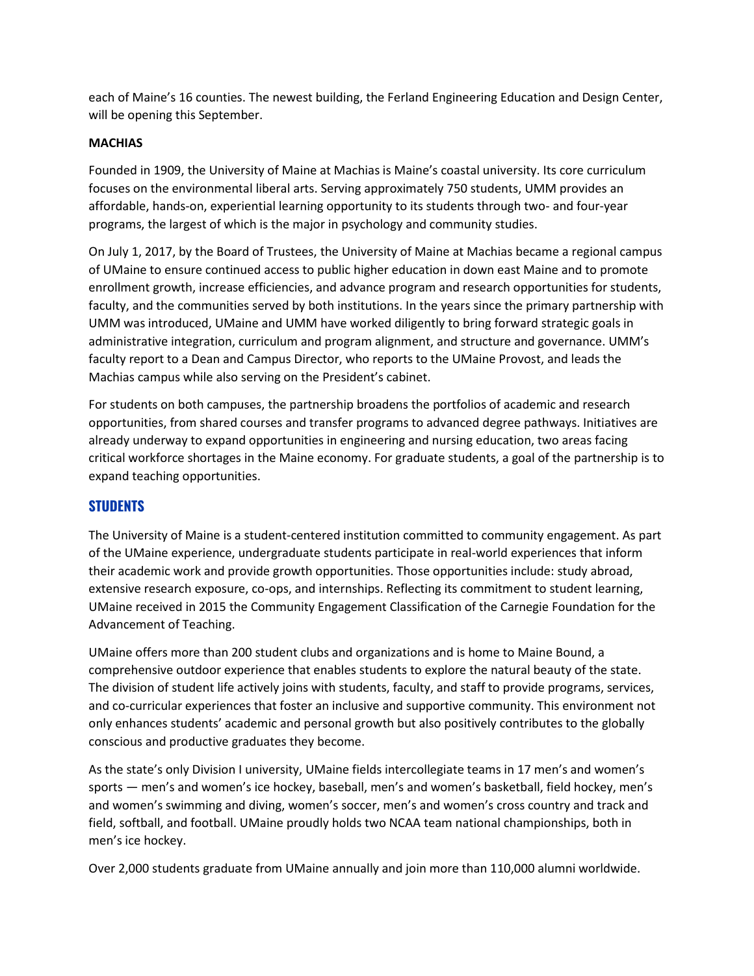each of Maine's 16 counties. The newest building, the Ferland Engineering Education and Design Center, will be opening this September.

#### **MACHIAS**

Founded in 1909, the University of Maine at Machias is Maine's coastal university. Its core curriculum focuses on the environmental liberal arts. Serving approximately 750 students, UMM provides an affordable, hands-on, experiential learning opportunity to its students through two- and four-year programs, the largest of which is the major in psychology and community studies.

On July 1, 2017, by the Board of Trustees, the University of Maine at Machias became a regional campus of UMaine to ensure continued access to public higher education in down east Maine and to promote enrollment growth, increase efficiencies, and advance program and research opportunities for students, faculty, and the communities served by both institutions. In the years since the primary partnership with UMM was introduced, UMaine and UMM have worked diligently to bring forward strategic goals in administrative integration, curriculum and program alignment, and structure and governance. UMM's faculty report to a Dean and Campus Director, who reports to the UMaine Provost, and leads the Machias campus while also serving on the President's cabinet.

For students on both campuses, the partnership broadens the portfolios of academic and research opportunities, from shared courses and transfer programs to advanced degree pathways. Initiatives are already underway to expand opportunities in engineering and nursing education, two areas facing critical workforce shortages in the Maine economy. For graduate students, a goal of the partnership is to expand teaching opportunities.

# **STUDENTS**

The University of Maine is a student-centered institution committed to community engagement. As part of the UMaine experience, undergraduate students participate in real-world experiences that inform their academic work and provide growth opportunities. Those opportunities include: study abroad, extensive research exposure, co-ops, and internships. Reflecting its commitment to student learning, UMaine received in 2015 the Community Engagement Classification of the Carnegie Foundation for the Advancement of Teaching.

UMaine offers more than 200 student clubs and organizations and is home to Maine Bound, a comprehensive outdoor experience that enables students to explore the natural beauty of the state. The division of student life actively joins with students, faculty, and staff to provide programs, services, and co-curricular experiences that foster an inclusive and supportive community. This environment not only enhances students' academic and personal growth but also positively contributes to the globally conscious and productive graduates they become.

As the state's only Division I university, UMaine fields intercollegiate teams in 17 men's and women's sports — men's and women's ice hockey, baseball, men's and women's basketball, field hockey, men's and women's swimming and diving, women's soccer, men's and women's cross country and track and field, softball, and football. UMaine proudly holds two NCAA team national championships, both in men's ice hockey.

Over 2,000 students graduate from UMaine annually and join more than 110,000 alumni worldwide.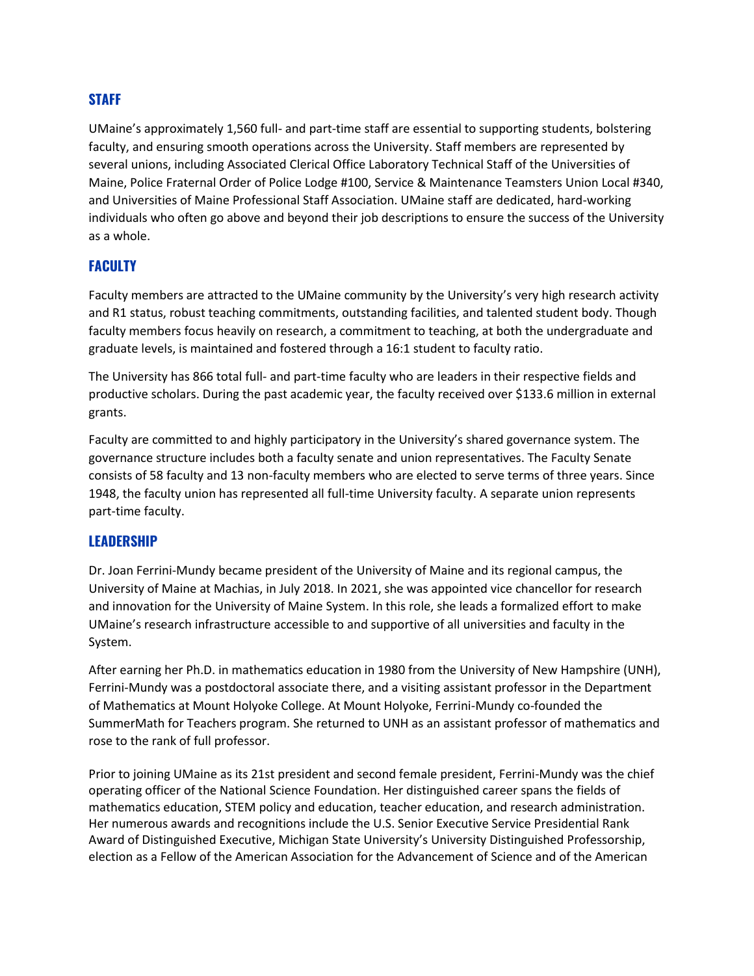# **STAFF**

UMaine's approximately 1,560 full- and part-time staff are essential to supporting students, bolstering faculty, and ensuring smooth operations across the University. Staff members are represented by several unions, including Associated Clerical Office Laboratory Technical Staff of the Universities of Maine, Police Fraternal Order of Police Lodge #100, Service & Maintenance Teamsters Union Local #340, and Universities of Maine Professional Staff Association. UMaine staff are dedicated, hard-working individuals who often go above and beyond their job descriptions to ensure the success of the University as a whole.

# **FACULTY**

Faculty members are attracted to the UMaine community by the University's very high research activity and R1 status, robust teaching commitments, outstanding facilities, and talented student body. Though faculty members focus heavily on research, a commitment to teaching, at both the undergraduate and graduate levels, is maintained and fostered through a 16:1 student to faculty ratio.

The University has 866 total full- and part-time faculty who are leaders in their respective fields and productive scholars. During the past academic year, the faculty received over \$133.6 million in external grants.

Faculty are committed to and highly participatory in the University's shared governance system. The governance structure includes both a faculty senate and union representatives. The Faculty Senate consists of 58 faculty and 13 non-faculty members who are elected to serve terms of three years. Since 1948, the faculty union has represented all full-time University faculty. A separate union represents part-time faculty.

#### **LEADERSHIP**

Dr. Joan Ferrini-Mundy became president of the University of Maine and its regional campus, the University of Maine at Machias, in July 2018. In 2021, she was appointed vice chancellor for research and innovation for the University of Maine System. In this role, she leads a formalized effort to make UMaine's research infrastructure accessible to and supportive of all universities and faculty in the System.

After earning her Ph.D. in mathematics education in 1980 from the University of New Hampshire (UNH), Ferrini-Mundy was a postdoctoral associate there, and a visiting assistant professor in the Department of Mathematics at Mount Holyoke College. At Mount Holyoke, Ferrini-Mundy co-founded the SummerMath for Teachers program. She returned to UNH as an assistant professor of mathematics and rose to the rank of full professor.

Prior to joining UMaine as its 21st president and second female president, Ferrini-Mundy was the chief operating officer of the National Science Foundation. Her distinguished career spans the fields of mathematics education, STEM policy and education, teacher education, and research administration. Her numerous awards and recognitions include the U.S. Senior Executive Service Presidential Rank Award of Distinguished Executive, Michigan State University's University Distinguished Professorship, election as a Fellow of the American Association for the Advancement of Science and of the American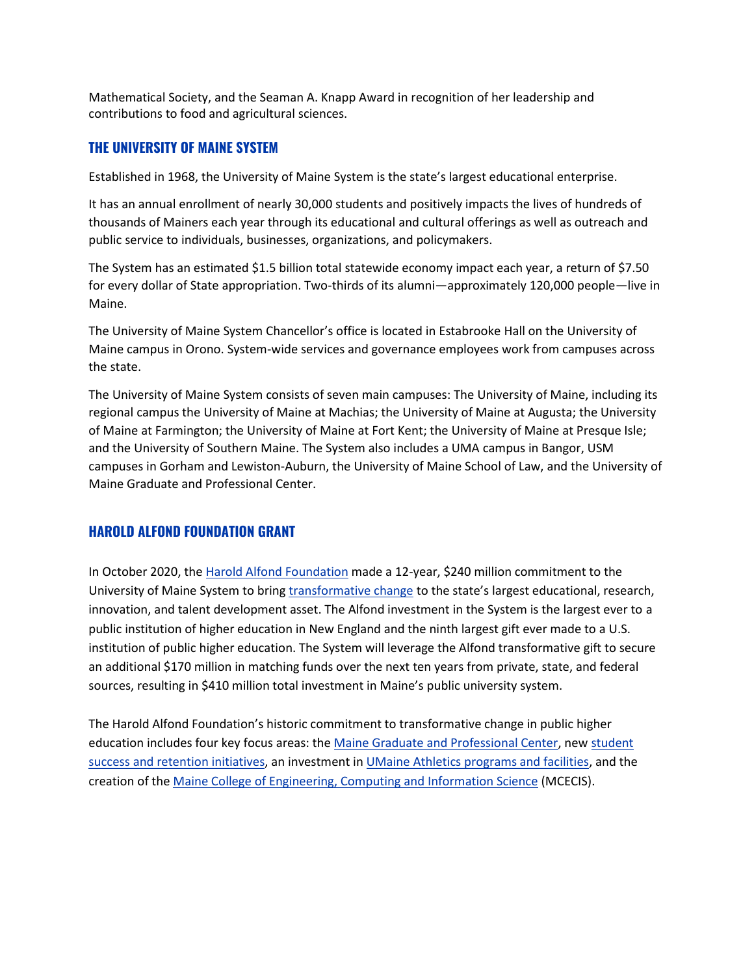Mathematical Society, and the Seaman A. Knapp Award in recognition of her leadership and contributions to food and agricultural sciences.

### **THE UNIVERSITY OF MAINE SYSTEM**

Established in 1968, the University of Maine System is the state's largest educational enterprise.

It has an annual enrollment of nearly 30,000 students and positively impacts the lives of hundreds of thousands of Mainers each year through its educational and cultural offerings as well as outreach and public service to individuals, businesses, organizations, and policymakers.

The System has an estimated \$1.5 billion total statewide economy impact each year, a return of \$7.50 for every dollar of State appropriation. Two-thirds of its alumni—approximately 120,000 people—live in Maine.

The University of Maine System Chancellor's office is located in Estabrooke Hall on the University of Maine campus in Orono. System-wide services and governance employees work from campuses across the state.

The University of Maine System consists of seven main campuses: The University of Maine, including its regional campus the University of Maine at Machias; the University of Maine at Augusta; the University of Maine at Farmington; the University of Maine at Fort Kent; the University of Maine at Presque Isle; and the University of Southern Maine. The System also includes a UMA campus in Bangor, USM campuses in Gorham and Lewiston-Auburn, the University of Maine School of Law, and the University of Maine Graduate and Professional Center.

#### **HAROLD ALFOND FOUNDATION GRANT**

In Octob[e](https://www.haroldalfondfoundation.org/)r 2020, the [Harold Alfond Foundation](https://www.haroldalfondfoundation.org/) made a 12-year, \$240 million commitment to the University of Maine System to bring [transformative change](https://www.maine.edu/transforms/about/) to the state's largest educational, research, innovation, and talent development asset. The Alfond investment in the System is the largest ever to a public institution of higher education in New England and the ninth largest gift ever made to a U.S. institution of public higher education. The System will leverage the Alfond transformative gift to secure an additional \$170 million in matching funds over the next ten years from private, state, and federal sources, resulting in \$410 million total investment in Maine's public university system.

The Harold Alfond Foundation's historic commitment to transformative change in public higher [e](https://www.maine.edu/transforms/maine-center/)ducation includes four key focus areas: the [Maine Graduate and Professional Center,](https://www.maine.edu/transforms/maine-center/) ne[w](https://www.maine.edu/transforms/student-success-and-retention/) student [success and retention initiatives,](https://www.maine.edu/transforms/student-success-and-retention/) an investment in [UMaine Athletics programs and facilities,](https://www.maine.edu/transforms/umaine-athletics/) and the creation of the [Maine College of Engineering, Computing and Information Science](https://www.maine.edu/transforms/mcecis/) (MCECIS).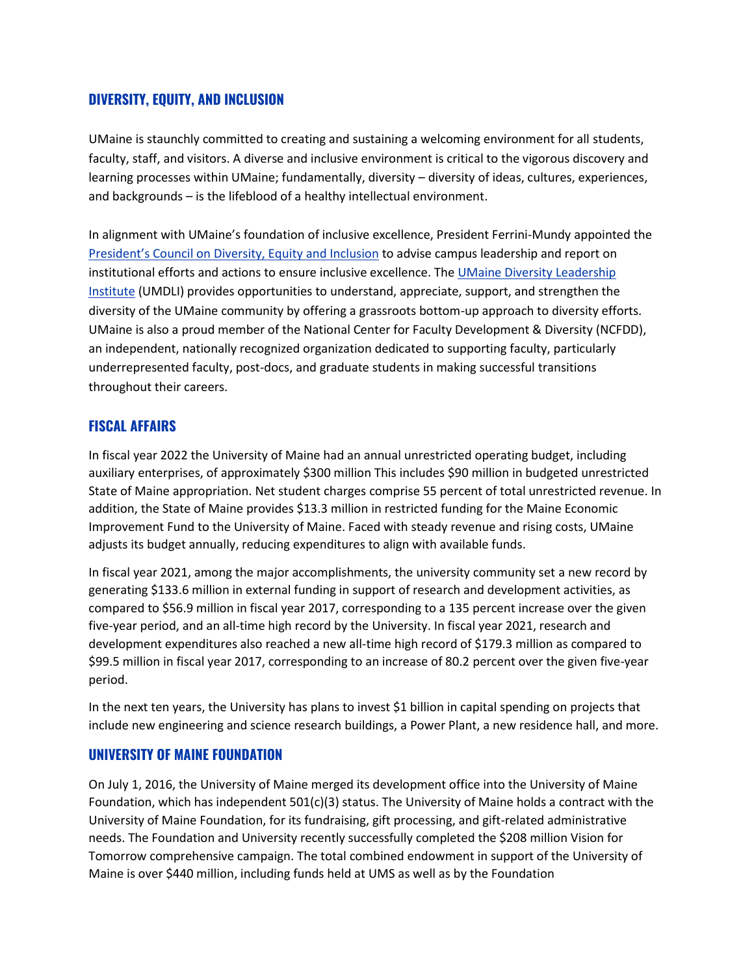# **DIVERSITY, EQUITY, AND INCLUSION**

UMaine is staunchly committed to creating and sustaining a welcoming environment for all students, faculty, staff, and visitors. A diverse and inclusive environment is critical to the vigorous discovery and learning processes within UMaine; fundamentally, diversity – diversity of ideas, cultures, experiences, and backgrounds – is the lifeblood of a healthy intellectual environment.

In alignment with UMaine's foundation of inclusive excellence, President Ferrini-Mundy appointed th[e](https://umaine.edu/president/council-on-diversity-equity-and-inclusion/) [President's Council on Diversity, Equity and Inclusion](https://umaine.edu/president/council-on-diversity-equity-and-inclusion/) to advise campus leadership and report on institutional efforts and actions to ensure inclusive excellence. Th[e](https://umaine.edu/umdli/) [UMaine Diversity Leadership](https://umaine.edu/umdli/)  [Institute](https://umaine.edu/umdli/) (UMDLI) provides opportunities to understand, appreciate, support, and strengthen the diversity of the UMaine community by offering a grassroots bottom-up approach to diversity efforts. UMaine is also a proud member of the National Center for Faculty Development & Diversity (NCFDD), an independent, nationally recognized organization dedicated to supporting faculty, particularly underrepresented faculty, post-docs, and graduate students in making successful transitions throughout their careers.

#### **FISCAL AFFAIRS**

In fiscal year 2022 the University of Maine had an annual unrestricted operating budget, including auxiliary enterprises, of approximately \$300 million This includes \$90 million in budgeted unrestricted State of Maine appropriation. Net student charges comprise 55 percent of total unrestricted revenue. In addition, the State of Maine provides \$13.3 million in restricted funding for the Maine Economic Improvement Fund to the University of Maine. Faced with steady revenue and rising costs, UMaine adjusts its budget annually, reducing expenditures to align with available funds.

In fiscal year 2021, among the major accomplishments, the university community set a new record by generating \$133.6 million in external funding in support of research and development activities, as compared to \$56.9 million in fiscal year 2017, corresponding to a 135 percent increase over the given five-year period, and an all-time high record by the University. In fiscal year 2021, research and development expenditures also reached a new all-time high record of \$179.3 million as compared to \$99.5 million in fiscal year 2017, corresponding to an increase of 80.2 percent over the given five-year period.

In the next ten years, the University has plans to invest \$1 billion in capital spending on projects that include new engineering and science research buildings, a Power Plant, a new residence hall, and more.

#### **UNIVERSITY OF MAINE FOUNDATION**

On July 1, 2016, the University of Maine merged its development office into the University of Maine Foundation, which has independent 501(c)(3) status. The University of Maine holds a contract with the University of Maine Foundation, for its fundraising, gift processing, and gift-related administrative needs. The Foundation and University recently successfully completed the \$208 million Vision for Tomorrow comprehensive campaign. The total combined endowment in support of the University of Maine is over \$440 million, including funds held at UMS as well as by the Foundation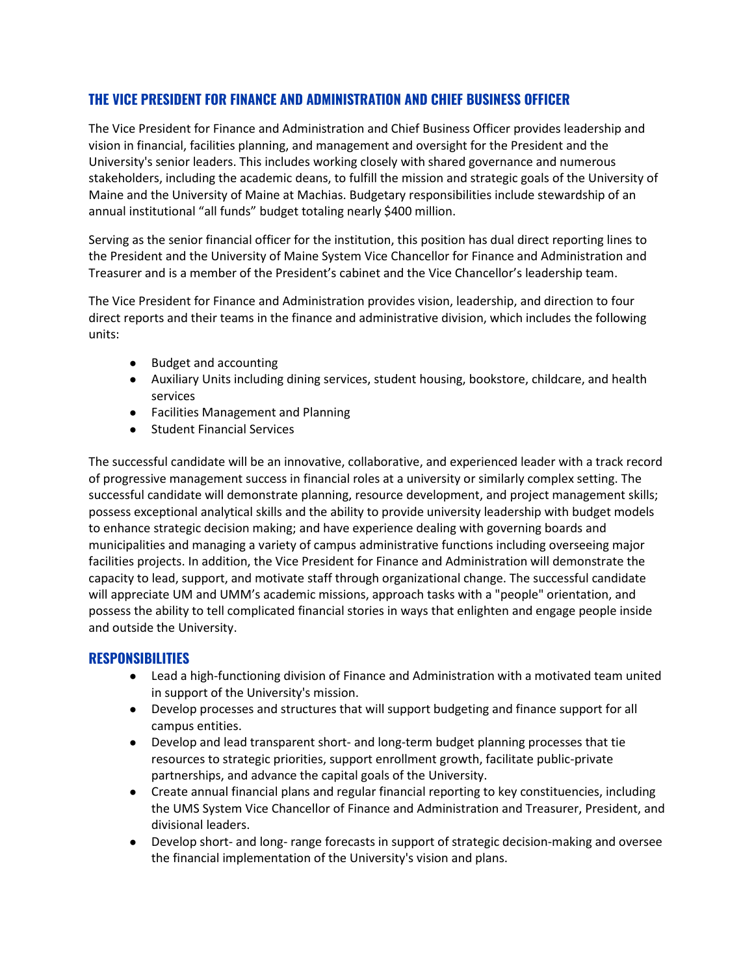# **THE VICE PRESIDENT FOR FINANCE AND ADMINISTRATION AND CHIEF BUSINESS OFFICER**

The Vice President for Finance and Administration and Chief Business Officer provides leadership and vision in financial, facilities planning, and management and oversight for the President and the University's senior leaders. This includes working closely with shared governance and numerous stakeholders, including the academic deans, to fulfill the mission and strategic goals of the University of Maine and the University of Maine at Machias. Budgetary responsibilities include stewardship of an annual institutional "all funds" budget totaling nearly \$400 million.

Serving as the senior financial officer for the institution, this position has dual direct reporting lines to the President and the University of Maine System Vice Chancellor for Finance and Administration and Treasurer and is a member of the President's cabinet and the Vice Chancellor's leadership team.

The Vice President for Finance and Administration provides vision, leadership, and direction to four direct reports and their teams in the finance and administrative division, which includes the following units:

- Budget and accounting
- Auxiliary Units including dining services, student housing, bookstore, childcare, and health services
- Facilities Management and Planning
- Student Financial Services

The successful candidate will be an innovative, collaborative, and experienced leader with a track record of progressive management success in financial roles at a university or similarly complex setting. The successful candidate will demonstrate planning, resource development, and project management skills; possess exceptional analytical skills and the ability to provide university leadership with budget models to enhance strategic decision making; and have experience dealing with governing boards and municipalities and managing a variety of campus administrative functions including overseeing major facilities projects. In addition, the Vice President for Finance and Administration will demonstrate the capacity to lead, support, and motivate staff through organizational change. The successful candidate will appreciate UM and UMM's academic missions, approach tasks with a "people" orientation, and possess the ability to tell complicated financial stories in ways that enlighten and engage people inside and outside the University.

#### **RESPONSIBILITIES**

- Lead a high-functioning division of Finance and Administration with a motivated team united in support of the University's mission.
- Develop processes and structures that will support budgeting and finance support for all campus entities.
- Develop and lead transparent short- and long-term budget planning processes that tie resources to strategic priorities, support enrollment growth, facilitate public-private partnerships, and advance the capital goals of the University.
- Create annual financial plans and regular financial reporting to key constituencies, including the UMS System Vice Chancellor of Finance and Administration and Treasurer, President, and divisional leaders.
- Develop short- and long- range forecasts in support of strategic decision-making and oversee the financial implementation of the University's vision and plans.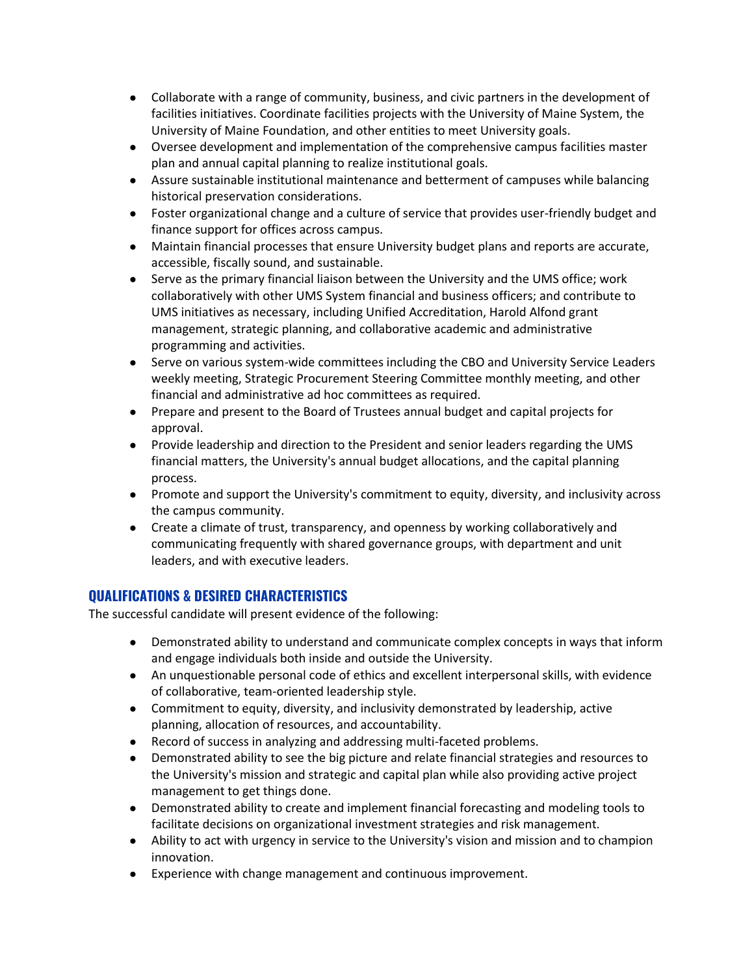- Collaborate with a range of community, business, and civic partners in the development of facilities initiatives. Coordinate facilities projects with the University of Maine System, the University of Maine Foundation, and other entities to meet University goals.
- Oversee development and implementation of the comprehensive campus facilities master plan and annual capital planning to realize institutional goals.
- Assure sustainable institutional maintenance and betterment of campuses while balancing historical preservation considerations.
- Foster organizational change and a culture of service that provides user-friendly budget and finance support for offices across campus.
- Maintain financial processes that ensure University budget plans and reports are accurate, accessible, fiscally sound, and sustainable.
- Serve as the primary financial liaison between the University and the UMS office; work collaboratively with other UMS System financial and business officers; and contribute to UMS initiatives as necessary, including Unified Accreditation, Harold Alfond grant management, strategic planning, and collaborative academic and administrative programming and activities.
- Serve on various system-wide committees including the CBO and University Service Leaders weekly meeting, Strategic Procurement Steering Committee monthly meeting, and other financial and administrative ad hoc committees as required.
- Prepare and present to the Board of Trustees annual budget and capital projects for approval.
- Provide leadership and direction to the President and senior leaders regarding the UMS financial matters, the University's annual budget allocations, and the capital planning process.
- Promote and support the University's commitment to equity, diversity, and inclusivity across the campus community.
- Create a climate of trust, transparency, and openness by working collaboratively and communicating frequently with shared governance groups, with department and unit leaders, and with executive leaders.

# **QUALIFICATIONS & DESIRED CHARACTERISTICS**

The successful candidate will present evidence of the following:

- Demonstrated ability to understand and communicate complex concepts in ways that inform and engage individuals both inside and outside the University.
- An unquestionable personal code of ethics and excellent interpersonal skills, with evidence of collaborative, team-oriented leadership style.
- Commitment to equity, diversity, and inclusivity demonstrated by leadership, active planning, allocation of resources, and accountability.
- Record of success in analyzing and addressing multi-faceted problems.
- Demonstrated ability to see the big picture and relate financial strategies and resources to the University's mission and strategic and capital plan while also providing active project management to get things done.
- Demonstrated ability to create and implement financial forecasting and modeling tools to facilitate decisions on organizational investment strategies and risk management.
- Ability to act with urgency in service to the University's vision and mission and to champion innovation.
- Experience with change management and continuous improvement.